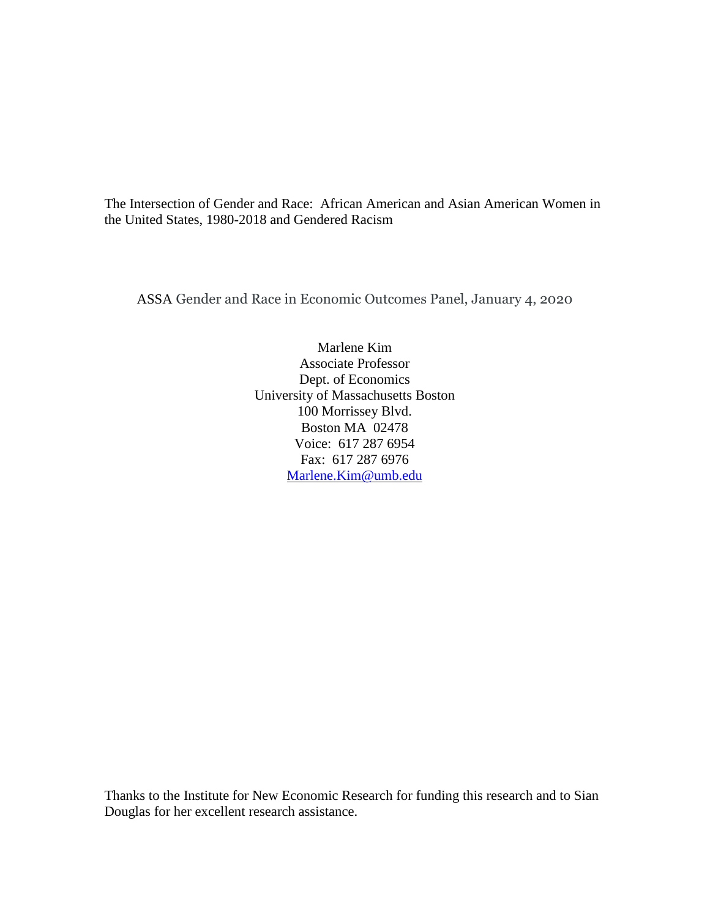The Intersection of Gender and Race: African American and Asian American Women in the United States, 1980-2018 and Gendered Racism

ASSA Gender and Race in Economic Outcomes Panel, January 4, 2020

Marlene Kim Associate Professor Dept. of Economics University of Massachusetts Boston 100 Morrissey Blvd. Boston MA 02478 Voice: 617 287 6954 Fax: 617 287 6976 [Marlene.Kim@umb.edu](mailto:Marlene.Kim@umb.edu)

Thanks to the Institute for New Economic Research for funding this research and to Sian Douglas for her excellent research assistance.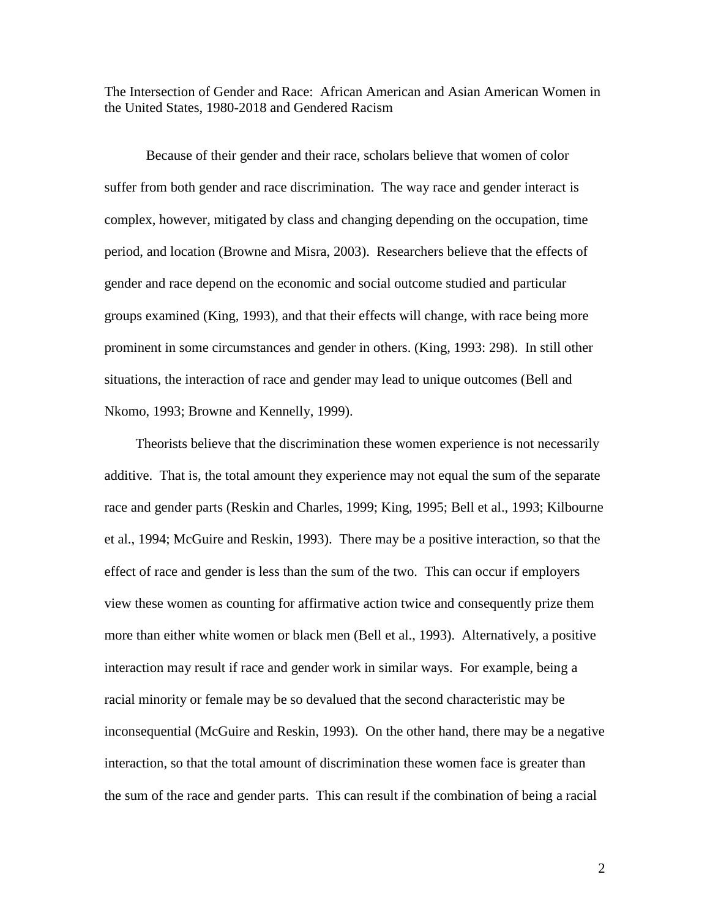The Intersection of Gender and Race: African American and Asian American Women in the United States, 1980-2018 and Gendered Racism

Because of their gender and their race, scholars believe that women of color suffer from both gender and race discrimination. The way race and gender interact is complex, however, mitigated by class and changing depending on the occupation, time period, and location (Browne and Misra, 2003). Researchers believe that the effects of gender and race depend on the economic and social outcome studied and particular groups examined (King, 1993), and that their effects will change, with race being more prominent in some circumstances and gender in others. (King, 1993: 298). In still other situations, the interaction of race and gender may lead to unique outcomes (Bell and Nkomo, 1993; Browne and Kennelly, 1999).

 Theorists believe that the discrimination these women experience is not necessarily additive. That is, the total amount they experience may not equal the sum of the separate race and gender parts (Reskin and Charles, 1999; King, 1995; Bell et al., 1993; Kilbourne et al., 1994; McGuire and Reskin, 1993). There may be a positive interaction, so that the effect of race and gender is less than the sum of the two. This can occur if employers view these women as counting for affirmative action twice and consequently prize them more than either white women or black men (Bell et al., 1993). Alternatively, a positive interaction may result if race and gender work in similar ways. For example, being a racial minority or female may be so devalued that the second characteristic may be inconsequential (McGuire and Reskin, 1993). On the other hand, there may be a negative interaction, so that the total amount of discrimination these women face is greater than the sum of the race and gender parts. This can result if the combination of being a racial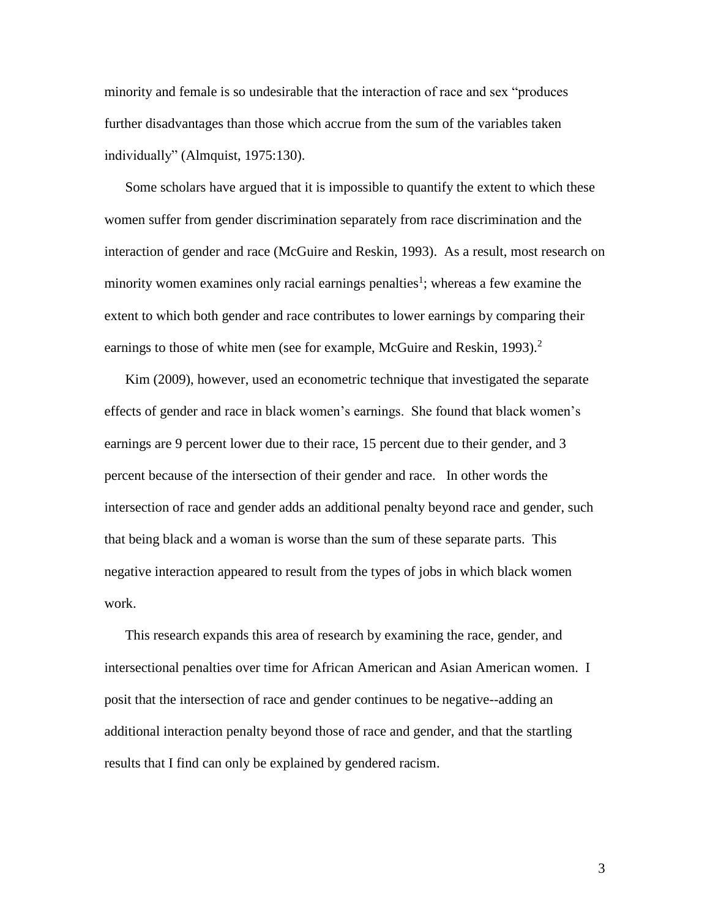minority and female is so undesirable that the interaction of race and sex "produces further disadvantages than those which accrue from the sum of the variables taken individually" (Almquist, 1975:130).

Some scholars have argued that it is impossible to quantify the extent to which these women suffer from gender discrimination separately from race discrimination and the interaction of gender and race (McGuire and Reskin, 1993). As a result, most research on minority women examines only racial earnings penalties<sup>1</sup>; whereas a few examine the extent to which both gender and race contributes to lower earnings by comparing their earnings to those of white men (see for example, McGuire and Reskin, 1993).<sup>2</sup>

Kim (2009), however, used an econometric technique that investigated the separate effects of gender and race in black women's earnings. She found that black women's earnings are 9 percent lower due to their race, 15 percent due to their gender, and 3 percent because of the intersection of their gender and race. In other words the intersection of race and gender adds an additional penalty beyond race and gender, such that being black and a woman is worse than the sum of these separate parts. This negative interaction appeared to result from the types of jobs in which black women work.

This research expands this area of research by examining the race, gender, and intersectional penalties over time for African American and Asian American women. I posit that the intersection of race and gender continues to be negative--adding an additional interaction penalty beyond those of race and gender, and that the startling results that I find can only be explained by gendered racism.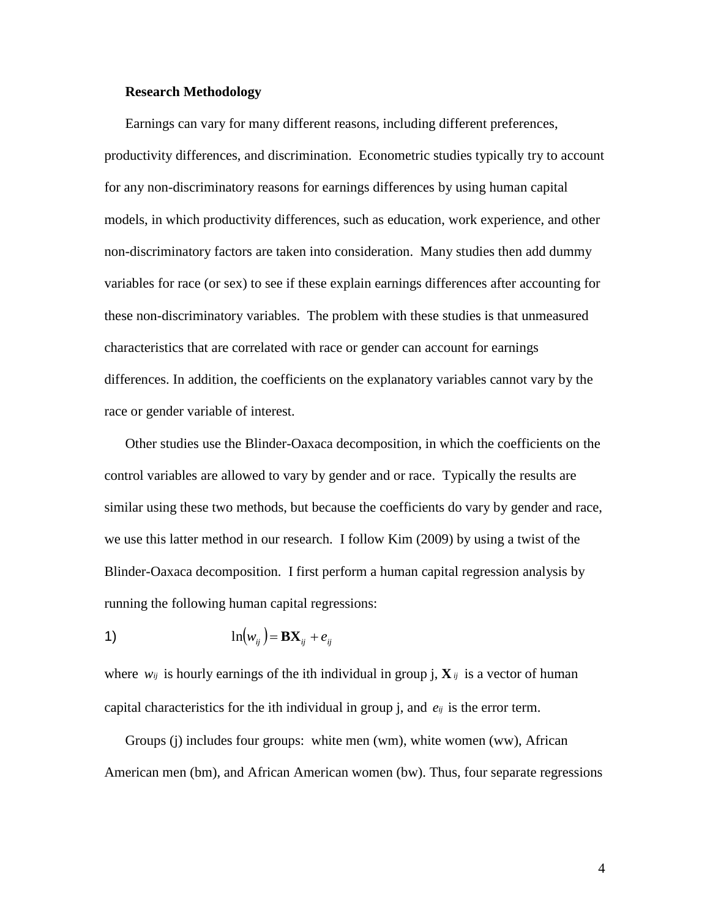## **Research Methodology**

Earnings can vary for many different reasons, including different preferences, productivity differences, and discrimination. Econometric studies typically try to account for any non-discriminatory reasons for earnings differences by using human capital models, in which productivity differences, such as education, work experience, and other non-discriminatory factors are taken into consideration. Many studies then add dummy variables for race (or sex) to see if these explain earnings differences after accounting for these non-discriminatory variables. The problem with these studies is that unmeasured characteristics that are correlated with race or gender can account for earnings differences. In addition, the coefficients on the explanatory variables cannot vary by the race or gender variable of interest.

Other studies use the Blinder-Oaxaca decomposition, in which the coefficients on the control variables are allowed to vary by gender and or race. Typically the results are similar using these two methods, but because the coefficients do vary by gender and race, we use this latter method in our research. I follow Kim (2009) by using a twist of the Blinder-Oaxaca decomposition. I first perform a human capital regression analysis by running the following human capital regressions:

$$
1) \qquad \qquad \ln(w_{ij}) = \mathbf{B} \mathbf{X}_{ij} + e_{ij}
$$

where  $w_{ij}$  is hourly earnings of the ith individual in group j,  $X_{ij}$  is a vector of human capital characteristics for the ith individual in group j, and  $e_{ij}$  is the error term.

Groups (j) includes four groups: white men (wm), white women (ww), African American men (bm), and African American women (bw). Thus, four separate regressions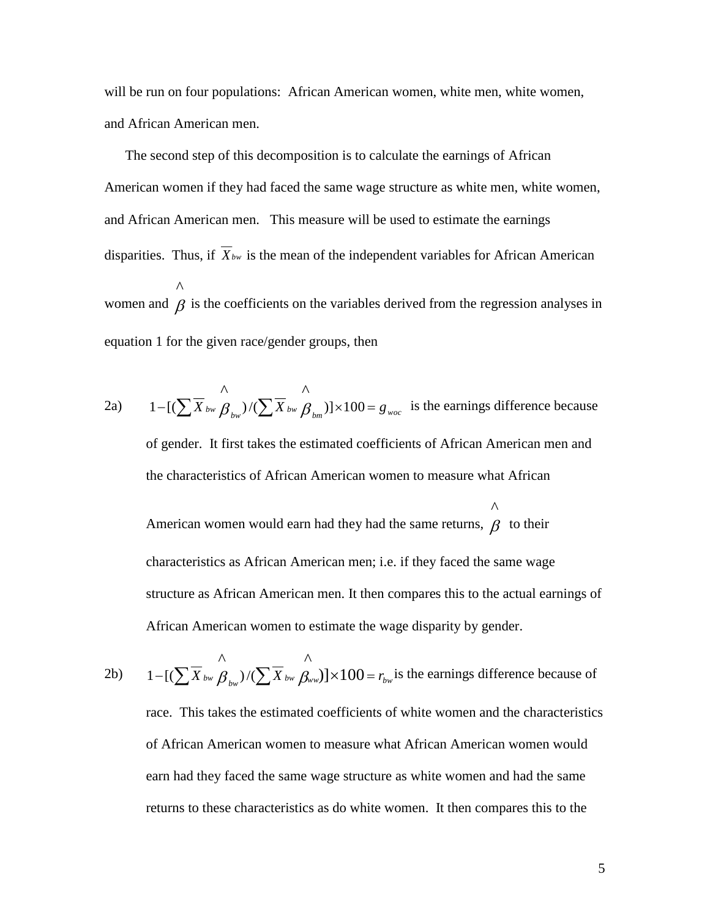will be run on four populations: African American women, white men, white women, and African American men.

The second step of this decomposition is to calculate the earnings of African American women if they had faced the same wage structure as white men, white women, and African American men. This measure will be used to estimate the earnings disparities. Thus, if *Xbw* is the mean of the independent variables for African American women and  $\beta$  is the coefficients on the variables derived from the regression analyses in ^equation 1 for the given race/gender groups, then

$$
1 - [(\sum \overline{X}_{bw} \overset{\wedge}{\beta}_{bw}) / (\sum \overline{X}_{bw} \overset{\wedge}{\beta}_{bm})] \times 100 = g_{woc}
$$
 is the earnings difference because  
of gender. It first takes the estimated coefficients of African American men and  
the characteristics of African American women to measure what African  
American women would earn had they had the same returns,  $\overset{\wedge}{\beta}$  to their  
characteristics as African American men; i.e. if they faced the same wage  
structure as African American men. It then compares this to the actual earnings of  
African American women to estimate the wage disparity by gender.

2b) 
$$
1 - [(\sum \overline{X}_{bw} \mathbf{B}_{bw}) / (\sum \overline{X}_{bw} \mathbf{B}_{w})] \times 100 = r_{bw}
$$
 is the earnings difference because of  
race. This takes the estimated coefficients of white women and the characteristics  
of African American women to measure what African American women would  
earn had they faced the same wage structure as white women and had the same  
returns to these characteristics as do white women. It then compares this to the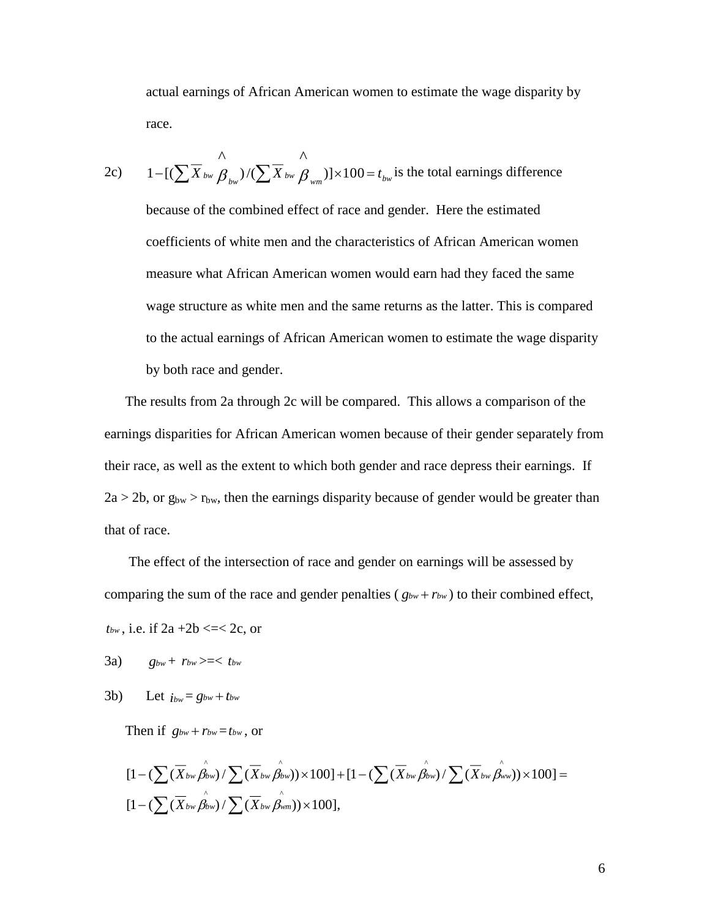actual earnings of African American women to estimate the wage disparity by race.

2c) 
$$
1-[(\sum \overline{X}_{bw} \mathcal{B}_{bw})/(\sum \overline{X}_{bw} \mathcal{B}_{wm})] \times 100 = t_{bw}
$$
 is the total earnings difference  
because of the combined effect of race and gender. Here the estimated  
coefficients of white men and the characteristics of African American women  
measure what African American women would earn had they faced the same  
wage structure as white men and the same returns as the latter. This is compared  
to the actual earnings of African American women to estimate the wage disparity  
by both race and gender.

The results from 2a through 2c will be compared. This allows a comparison of the earnings disparities for African American women because of their gender separately from their race, as well as the extent to which both gender and race depress their earnings. If  $2a > 2b$ , or  $g_{bw} > r_{bw}$ , then the earnings disparity because of gender would be greater than that of race.

The effect of the intersection of race and gender on earnings will be assessed by comparing the sum of the race and gender penalties ( $g_{bw} + r_{bw}$ ) to their combined effect,

 $t_{bw}$ , i.e. if  $2a + 2b \leq C 2c$ , or

- 3a)  $g_{bw}$  +  $r_{bw}$  >=<  $t_{bw}$
- 3b) Let  $i_{bw} = g_{bw} + t_{bw}$

Then if  $g_{bw} + r_{bw} = t_{bw}$ , or

$$
[1-(\sum(\overline{X}_{bw}\hat{\beta}_{bw})/\sum(\overline{X}_{bw}\hat{\beta}_{bw}))\times 100] + [1-(\sum(\overline{X}_{bw}\hat{\beta}_{bw})/\sum(\overline{X}_{bw}\hat{\beta}_{ww}))\times 100] =
$$
  

$$
[1-(\sum(\overline{X}_{bw}\hat{\beta}_{bw})/\sum(\overline{X}_{bw}\hat{\beta}_{wm}))\times 100],
$$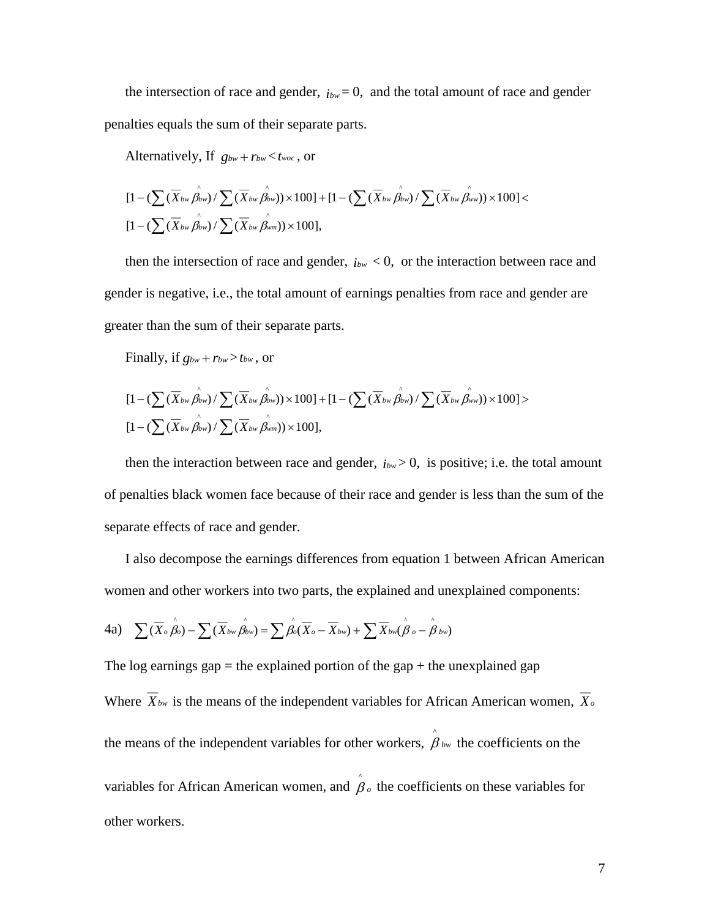the intersection of race and gender,  $i_{bw} = 0$ , and the total amount of race and gender penalties equals the sum of their separate parts.

Alternatively, If  $g_{bw} + r_{bw} < t_{woc}$ , or

$$
\begin{aligned}[1 &-(\sum(\overline{X}_{bw}\overset{\circ}{\beta_{bw}})/\sum(\overline{X}_{bw}\overset{\circ}{\beta_{bw}})\times100]+[1 &-(\sum(\overline{X}_{bw}\overset{\circ}{\beta_{bw}})/\sum(\overline{X}_{bw}\overset{\circ}{\beta_{ww}}))\times100]<\\[1 &-(\sum(\overline{X}_{bw}\overset{\circ}{\beta_{bw}})/\sum(\overline{X}_{bw}\overset{\circ}{\beta_{wm}}))\times100],\end{aligned}
$$

then the intersection of race and gender,  $i_{bw}$  < 0, or the interaction between race and gender is negative, i.e., the total amount of earnings penalties from race and gender are greater than the sum of their separate parts.

Finally, if  $g_{bw} + r_{bw} > t_{bw}$ , or

$$
\begin{aligned}[1 &-(\sum(\overline{X}_{bw}\overset{\circ}{\beta_{bw}})/\sum(\overline{X}_{bw}\overset{\circ}{\beta_{bw}})\times100]+[1 &-(\sum(\overline{X}_{bw}\overset{\circ}{\beta_{bw}})/\sum(\overline{X}_{bw}\overset{\circ}{\beta_{ww}}))\times100]&>\\[1 &-(\sum(\overline{X}_{bw}\overset{\circ}{\beta_{bw}})/\sum(\overline{X}_{bw}\overset{\circ}{\beta_{wm}}))\times100],\end{aligned}
$$

then the interaction between race and gender,  $i_{bw} > 0$ , is positive; i.e. the total amount of penalties black women face because of their race and gender is less than the sum of the separate effects of race and gender.

I also decompose the earnings differences from equation 1 between African American women and other workers into two parts, the explained and unexplained components:

4a) 
$$
\sum (\overline{X}_{o} \hat{\beta}_{o}) - \sum (\overline{X}_{bw} \hat{\beta}_{bw}) = \sum \hat{\beta}_{o} (\overline{X}_{o} - \overline{X}_{bw}) + \sum \overline{X}_{bw} (\hat{\beta}_{o} - \hat{\beta}_{bw})
$$

The log earnings gap  $=$  the explained portion of the gap  $+$  the unexplained gap Where *Xbw* is the means of the independent variables for African American women, *X<sup>o</sup>* the means of the independent variables for other workers,  $\beta_{bw}$  $\hat{\beta}_{bw}$  the coefficients on the variables for African American women, and  $\beta_o$  the coefficients on these variables for ^other workers.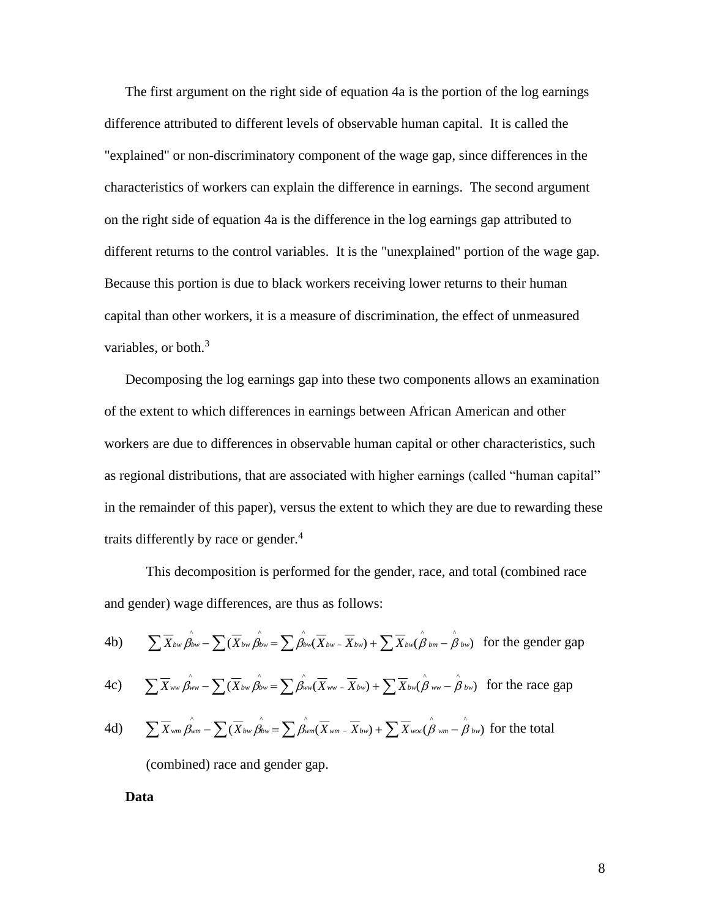The first argument on the right side of equation 4a is the portion of the log earnings difference attributed to different levels of observable human capital. It is called the "explained" or non-discriminatory component of the wage gap, since differences in the characteristics of workers can explain the difference in earnings. The second argument on the right side of equation 4a is the difference in the log earnings gap attributed to different returns to the control variables. It is the "unexplained" portion of the wage gap. Because this portion is due to black workers receiving lower returns to their human capital than other workers, it is a measure of discrimination, the effect of unmeasured variables, or both.<sup>3</sup>

Decomposing the log earnings gap into these two components allows an examination of the extent to which differences in earnings between African American and other workers are due to differences in observable human capital or other characteristics, such as regional distributions, that are associated with higher earnings (called "human capital" in the remainder of this paper), versus the extent to which they are due to rewarding these traits differently by race or gender. $4$ 

This decomposition is performed for the gender, race, and total (combined race and gender) wage differences, are thus as follows:

4b) 
$$
\sum \overline{X}_{bw} \hat{\beta}_{bw} - \sum (\overline{X}_{bw} \hat{\beta}_{bw} = \sum \hat{\beta}_{bw} (\overline{X}_{bw} - \overline{X}_{bw}) + \sum \overline{X}_{bw} (\hat{\beta}_{bm} - \hat{\beta}_{bw})
$$
 for the gender gap

4c) 
$$
\sum \overline{X}_{ww} \overbrace{\beta_{ww}}^{\wedge} - \sum (\overline{X}_{bw} \overbrace{\beta_{bw}}^{\wedge} = \sum \overbrace{\beta_{ww}}^{\wedge} (\overline{X}_{ww} - \overline{X}_{bw}) + \sum \overline{X}_{bw} (\overbrace{\beta_{ww}}^{\wedge} - \overbrace{\beta_{bw}}^{\wedge}) \text{ for the race gap}
$$

4d) 
$$
\sum \overline{X}_{wm} \hat{\beta}_{wm} - \sum (\overline{X}_{bw} \hat{\beta}_{bw} = \sum \hat{\beta}_{wm} (\overline{X}_{wm} - \overline{X}_{bw}) + \sum \overline{X}_{woc} (\hat{\beta}_{wm} - \hat{\beta}_{bw})
$$
 for the total

(combined) race and gender gap.

**Data**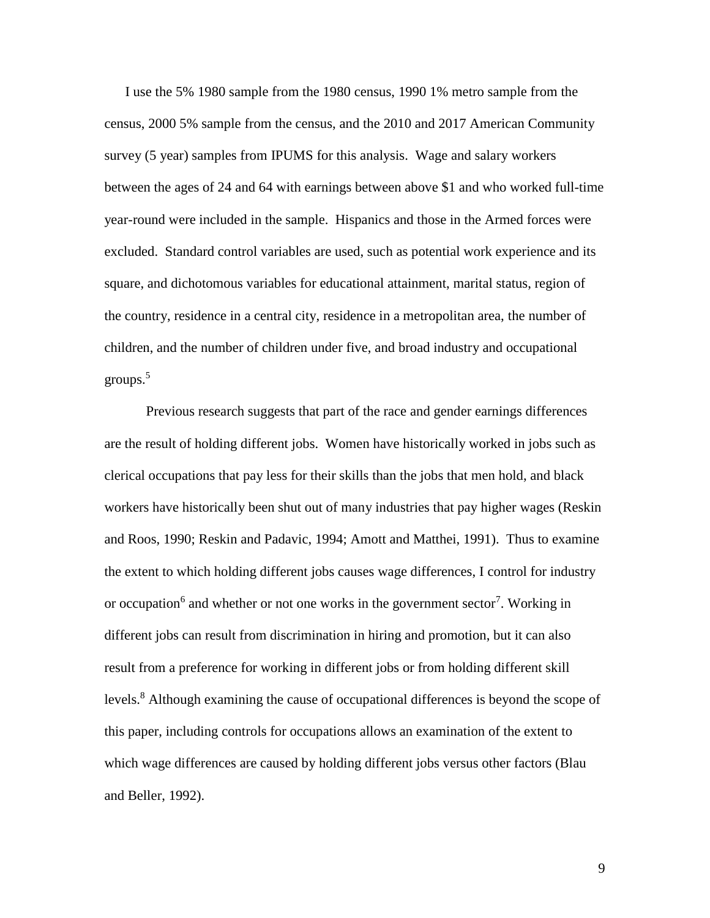I use the 5% 1980 sample from the 1980 census, 1990 1% metro sample from the census, 2000 5% sample from the census, and the 2010 and 2017 American Community survey (5 year) samples from IPUMS for this analysis. Wage and salary workers between the ages of 24 and 64 with earnings between above \$1 and who worked full-time year-round were included in the sample. Hispanics and those in the Armed forces were excluded. Standard control variables are used, such as potential work experience and its square, and dichotomous variables for educational attainment, marital status, region of the country, residence in a central city, residence in a metropolitan area, the number of children, and the number of children under five, and broad industry and occupational groups. 5

Previous research suggests that part of the race and gender earnings differences are the result of holding different jobs. Women have historically worked in jobs such as clerical occupations that pay less for their skills than the jobs that men hold, and black workers have historically been shut out of many industries that pay higher wages (Reskin and Roos, 1990; Reskin and Padavic, 1994; Amott and Matthei, 1991). Thus to examine the extent to which holding different jobs causes wage differences, I control for industry or occupation<sup>6</sup> and whether or not one works in the government sector<sup>7</sup>. Working in different jobs can result from discrimination in hiring and promotion, but it can also result from a preference for working in different jobs or from holding different skill levels.<sup>8</sup> Although examining the cause of occupational differences is beyond the scope of this paper, including controls for occupations allows an examination of the extent to which wage differences are caused by holding different jobs versus other factors (Blau and Beller, 1992).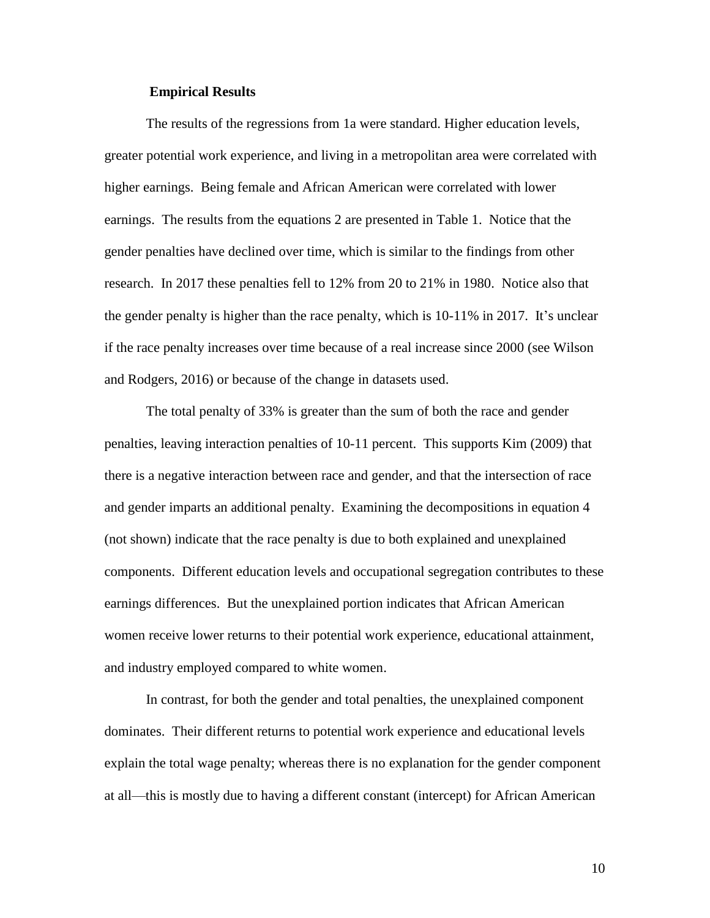## **Empirical Results**

The results of the regressions from 1a were standard. Higher education levels, greater potential work experience, and living in a metropolitan area were correlated with higher earnings. Being female and African American were correlated with lower earnings. The results from the equations 2 are presented in Table 1. Notice that the gender penalties have declined over time, which is similar to the findings from other research. In 2017 these penalties fell to 12% from 20 to 21% in 1980. Notice also that the gender penalty is higher than the race penalty, which is 10-11% in 2017. It's unclear if the race penalty increases over time because of a real increase since 2000 (see Wilson and Rodgers, 2016) or because of the change in datasets used.

The total penalty of 33% is greater than the sum of both the race and gender penalties, leaving interaction penalties of 10-11 percent. This supports Kim (2009) that there is a negative interaction between race and gender, and that the intersection of race and gender imparts an additional penalty. Examining the decompositions in equation 4 (not shown) indicate that the race penalty is due to both explained and unexplained components. Different education levels and occupational segregation contributes to these earnings differences. But the unexplained portion indicates that African American women receive lower returns to their potential work experience, educational attainment, and industry employed compared to white women.

In contrast, for both the gender and total penalties, the unexplained component dominates. Their different returns to potential work experience and educational levels explain the total wage penalty; whereas there is no explanation for the gender component at all—this is mostly due to having a different constant (intercept) for African American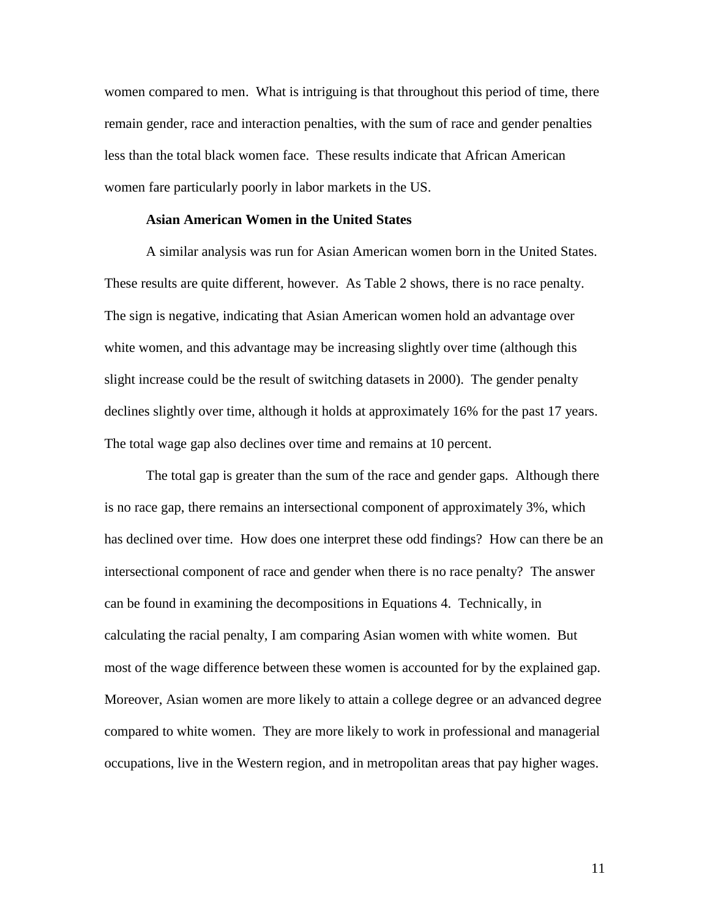women compared to men. What is intriguing is that throughout this period of time, there remain gender, race and interaction penalties, with the sum of race and gender penalties less than the total black women face. These results indicate that African American women fare particularly poorly in labor markets in the US.

### **Asian American Women in the United States**

A similar analysis was run for Asian American women born in the United States. These results are quite different, however. As Table 2 shows, there is no race penalty. The sign is negative, indicating that Asian American women hold an advantage over white women, and this advantage may be increasing slightly over time (although this slight increase could be the result of switching datasets in 2000). The gender penalty declines slightly over time, although it holds at approximately 16% for the past 17 years. The total wage gap also declines over time and remains at 10 percent.

The total gap is greater than the sum of the race and gender gaps. Although there is no race gap, there remains an intersectional component of approximately 3%, which has declined over time. How does one interpret these odd findings? How can there be an intersectional component of race and gender when there is no race penalty? The answer can be found in examining the decompositions in Equations 4. Technically, in calculating the racial penalty, I am comparing Asian women with white women. But most of the wage difference between these women is accounted for by the explained gap. Moreover, Asian women are more likely to attain a college degree or an advanced degree compared to white women. They are more likely to work in professional and managerial occupations, live in the Western region, and in metropolitan areas that pay higher wages.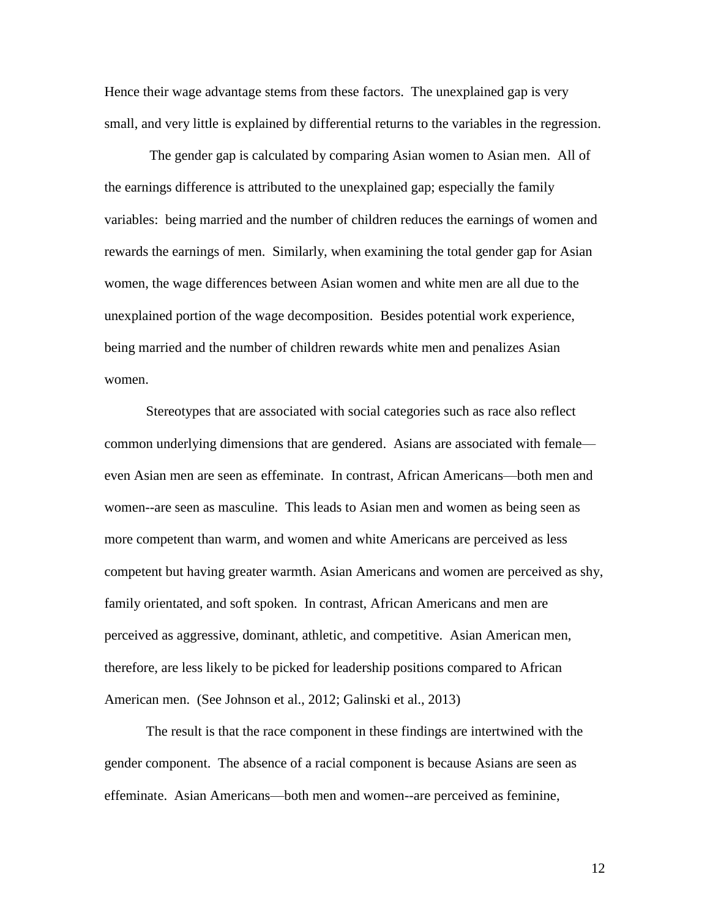Hence their wage advantage stems from these factors. The unexplained gap is very small, and very little is explained by differential returns to the variables in the regression.

The gender gap is calculated by comparing Asian women to Asian men. All of the earnings difference is attributed to the unexplained gap; especially the family variables: being married and the number of children reduces the earnings of women and rewards the earnings of men. Similarly, when examining the total gender gap for Asian women, the wage differences between Asian women and white men are all due to the unexplained portion of the wage decomposition. Besides potential work experience, being married and the number of children rewards white men and penalizes Asian women.

Stereotypes that are associated with social categories such as race also reflect common underlying dimensions that are gendered. Asians are associated with female even Asian men are seen as effeminate. In contrast, African Americans—both men and women--are seen as masculine. This leads to Asian men and women as being seen as more competent than warm, and women and white Americans are perceived as less competent but having greater warmth. Asian Americans and women are perceived as shy, family orientated, and soft spoken. In contrast, African Americans and men are perceived as aggressive, dominant, athletic, and competitive. Asian American men, therefore, are less likely to be picked for leadership positions compared to African American men. (See Johnson et al., 2012; Galinski et al., 2013)

The result is that the race component in these findings are intertwined with the gender component. The absence of a racial component is because Asians are seen as effeminate. Asian Americans—both men and women--are perceived as feminine,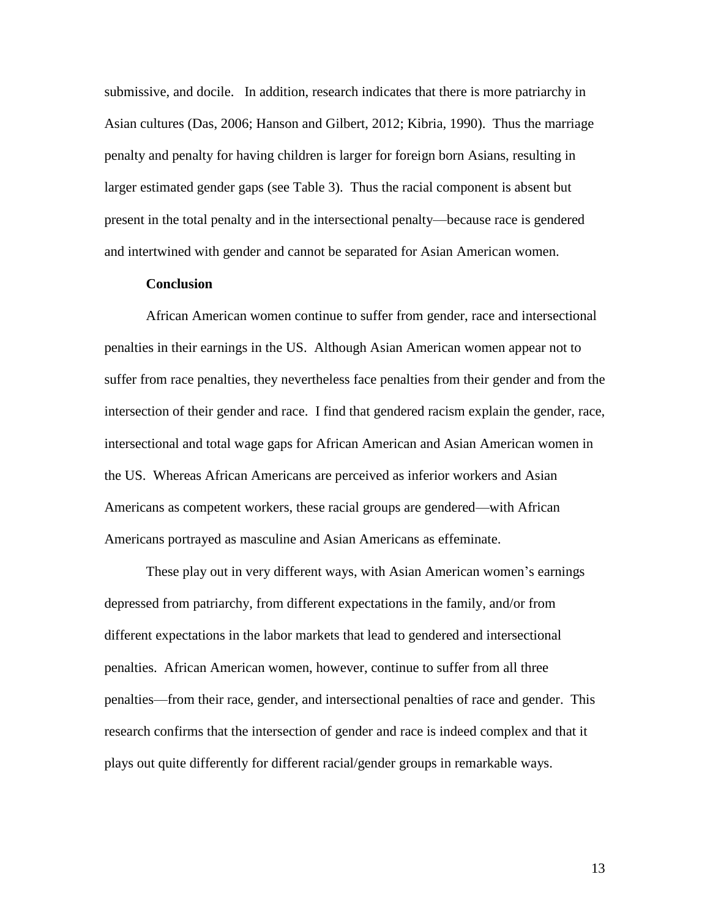submissive, and docile. In addition, research indicates that there is more patriarchy in Asian cultures (Das, 2006; Hanson and Gilbert, 2012; Kibria, 1990). Thus the marriage penalty and penalty for having children is larger for foreign born Asians, resulting in larger estimated gender gaps (see Table 3). Thus the racial component is absent but present in the total penalty and in the intersectional penalty—because race is gendered and intertwined with gender and cannot be separated for Asian American women.

# **Conclusion**

African American women continue to suffer from gender, race and intersectional penalties in their earnings in the US. Although Asian American women appear not to suffer from race penalties, they nevertheless face penalties from their gender and from the intersection of their gender and race. I find that gendered racism explain the gender, race, intersectional and total wage gaps for African American and Asian American women in the US. Whereas African Americans are perceived as inferior workers and Asian Americans as competent workers, these racial groups are gendered—with African Americans portrayed as masculine and Asian Americans as effeminate.

These play out in very different ways, with Asian American women's earnings depressed from patriarchy, from different expectations in the family, and/or from different expectations in the labor markets that lead to gendered and intersectional penalties. African American women, however, continue to suffer from all three penalties—from their race, gender, and intersectional penalties of race and gender. This research confirms that the intersection of gender and race is indeed complex and that it plays out quite differently for different racial/gender groups in remarkable ways.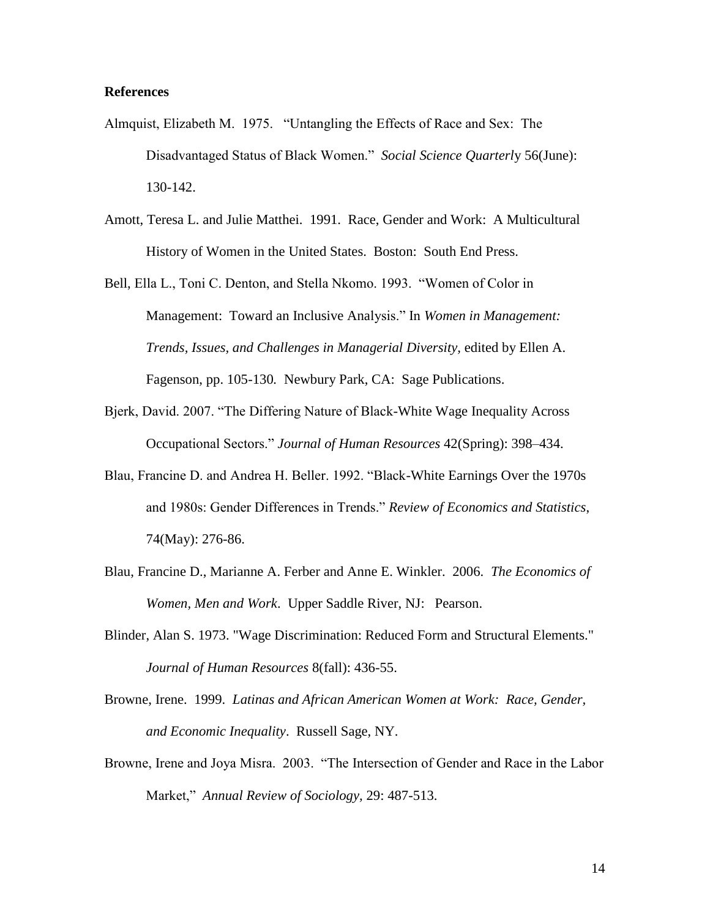# **References**

- Almquist, Elizabeth M. 1975. "Untangling the Effects of Race and Sex: The Disadvantaged Status of Black Women." *Social Science Quarterl*y 56(June): 130-142.
- Amott, Teresa L. and Julie Matthei. 1991. Race, Gender and Work: A Multicultural History of Women in the United States. Boston: South End Press.
- Bell, Ella L., Toni C. Denton, and Stella Nkomo. 1993. "Women of Color in Management: Toward an Inclusive Analysis." In *Women in Management: Trends, Issues, and Challenges in Managerial Diversity,* edited by Ellen A. Fagenson, pp. 105-130*.* Newbury Park, CA: Sage Publications.
- Bjerk, David. 2007. "The Differing Nature of Black-White Wage Inequality Across Occupational Sectors." *Journal of Human Resources* 42(Spring): 398–434.
- Blau, Francine D. and Andrea H. Beller. 1992. "Black-White Earnings Over the 1970s and 1980s: Gender Differences in Trends." *Review of Economics and Statistics*, 74(May): 276-86.
- Blau, Francine D., Marianne A. Ferber and Anne E. Winkler. 2006. *The Economics of Women, Men and Work*. Upper Saddle River, NJ: Pearson.
- Blinder, Alan S. 1973. "Wage Discrimination: Reduced Form and Structural Elements." *Journal of Human Resources* 8(fall): 436-55.
- Browne, Irene. 1999. *Latinas and African American Women at Work: Race, Gender, and Economic Inequality*. Russell Sage, NY.
- Browne, Irene and Joya Misra. 2003. "The Intersection of Gender and Race in the Labor Market," *Annual Review of Sociology,* 29: 487-513.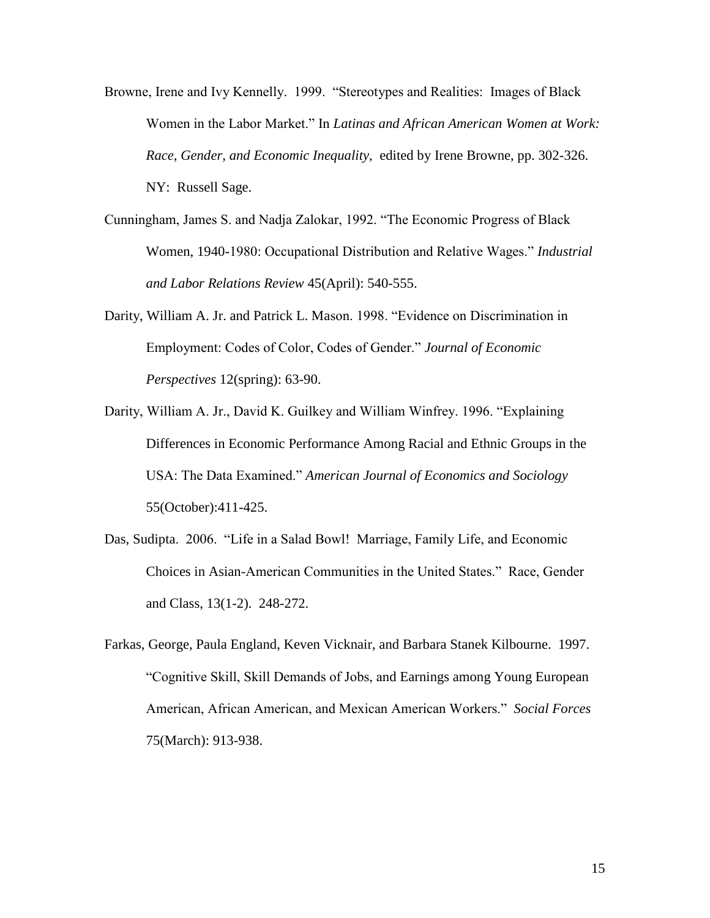- Browne, Irene and Ivy Kennelly. 1999. "Stereotypes and Realities: Images of Black Women in the Labor Market." In *Latinas and African American Women at Work: Race, Gender, and Economic Inequality,* edited by Irene Browne, pp. 302-326. NY: Russell Sage.
- Cunningham, James S. and Nadja Zalokar, 1992. "The Economic Progress of Black Women, 1940-1980: Occupational Distribution and Relative Wages." *Industrial and Labor Relations Review* 45(April): 540-555.
- Darity, William A. Jr. and Patrick L. Mason. 1998. "Evidence on Discrimination in Employment: Codes of Color, Codes of Gender." *Journal of Economic Perspectives* 12(spring): 63-90.
- Darity, William A. Jr., David K. Guilkey and William Winfrey. 1996. "Explaining Differences in Economic Performance Among Racial and Ethnic Groups in the USA: The Data Examined." *American Journal of Economics and Sociology* 55(October):411-425.
- Das, Sudipta. 2006. "Life in a Salad Bowl! Marriage, Family Life, and Economic Choices in Asian-American Communities in the United States." Race, Gender and Class, 13(1-2). 248-272.
- Farkas, George, Paula England, Keven Vicknair, and Barbara Stanek Kilbourne. 1997. "Cognitive Skill, Skill Demands of Jobs, and Earnings among Young European American, African American, and Mexican American Workers." *Social Forces* 75(March): 913-938.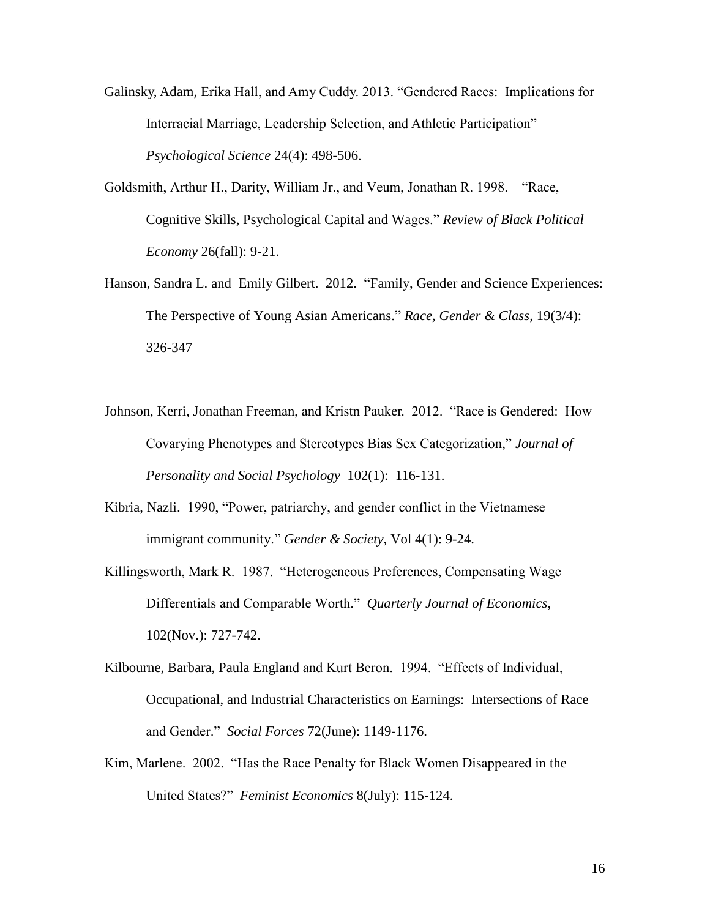- Galinsky, Adam, Erika Hall, and Amy Cuddy. 2013. "Gendered Races: Implications for Interracial Marriage, Leadership Selection, and Athletic Participation" *Psychological Science* 24(4): 498-506.
- Goldsmith, Arthur H., Darity, William Jr., and Veum, Jonathan R. 1998. "Race, Cognitive Skills, Psychological Capital and Wages." *Review of Black Political Economy* 26(fall): 9-21.
- Hanson, Sandra L. and Emily Gilbert. 2012. "Family, Gender and Science Experiences: The Perspective of Young Asian Americans." *Race, Gender & Class*, 19(3/4): 326-347
- Johnson, Kerri, Jonathan Freeman, and Kristn Pauker. 2012. "Race is Gendered: How Covarying Phenotypes and Stereotypes Bias Sex Categorization," *Journal of Personality and Social Psychology* 102(1): 116-131.
- Kibria, Nazli. 1990, "Power, patriarchy, and gender conflict in the Vietnamese immigrant community." *Gender & Society*, Vol 4(1): 9-24.
- Killingsworth, Mark R. 1987. "Heterogeneous Preferences, Compensating Wage Differentials and Comparable Worth." *Quarterly Journal of Economics*, 102(Nov.): 727-742.
- Kilbourne, Barbara, Paula England and Kurt Beron. 1994. "Effects of Individual, Occupational, and Industrial Characteristics on Earnings: Intersections of Race and Gender." *Social Forces* 72(June): 1149-1176.
- Kim, Marlene. 2002. "Has the Race Penalty for Black Women Disappeared in the United States?" *Feminist Economics* 8(July): 115-124.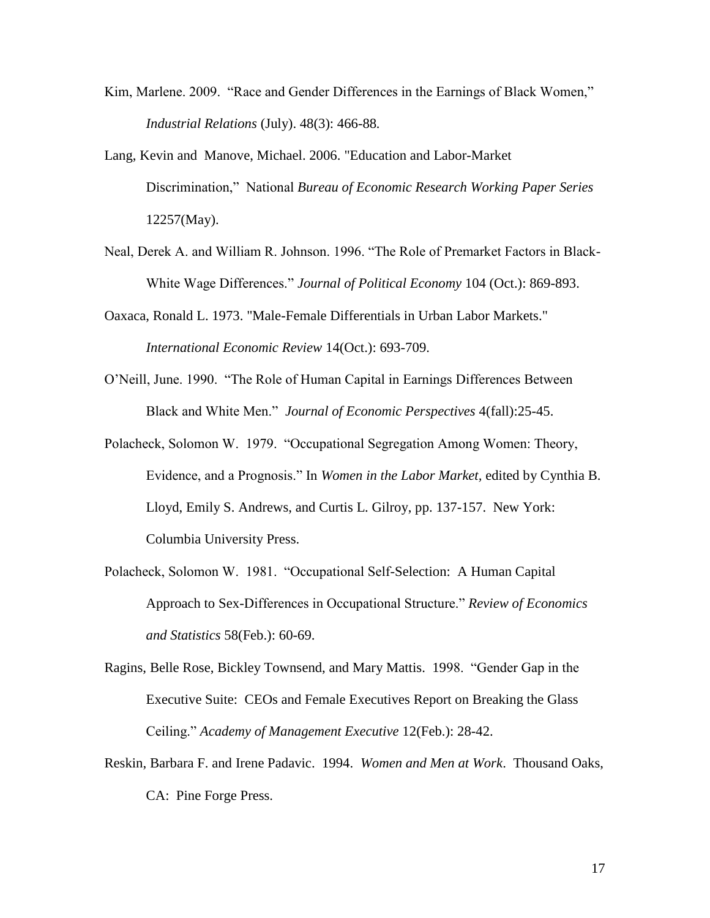- Kim, Marlene. 2009. "Race and Gender Differences in the Earnings of Black Women," *Industrial Relations* (July). 48(3): 466-88*.*
- Lang, Kevin and Manove, Michael. 2006. "Education and Labor-Market Discrimination," National *Bureau of Economic Research Working Paper Series* 12257(May).
- Neal, Derek A. and William R. Johnson. 1996. "The Role of Premarket Factors in Black-White Wage Differences." *Journal of Political Economy* 104 (Oct.): 869-893.
- Oaxaca, Ronald L. 1973. "Male-Female Differentials in Urban Labor Markets." *International Economic Review* 14(Oct.): 693-709.
- O'Neill, June. 1990. "The Role of Human Capital in Earnings Differences Between Black and White Men." *Journal of Economic Perspectives* 4(fall):25-45.
- Polacheck, Solomon W. 1979. "Occupational Segregation Among Women: Theory, Evidence, and a Prognosis." In *Women in the Labor Market,* edited by Cynthia B. Lloyd, Emily S. Andrews, and Curtis L. Gilroy, pp. 137-157. New York: Columbia University Press.
- Polacheck, Solomon W. 1981. "Occupational Self-Selection: A Human Capital Approach to Sex-Differences in Occupational Structure." *Review of Economics and Statistics* 58(Feb.): 60-69.
- Ragins, Belle Rose, Bickley Townsend, and Mary Mattis. 1998. "Gender Gap in the Executive Suite: CEOs and Female Executives Report on Breaking the Glass Ceiling." *Academy of Management Executive* 12(Feb.): 28-42.
- Reskin, Barbara F. and Irene Padavic. 1994. *Women and Men at Work*. Thousand Oaks, CA: Pine Forge Press.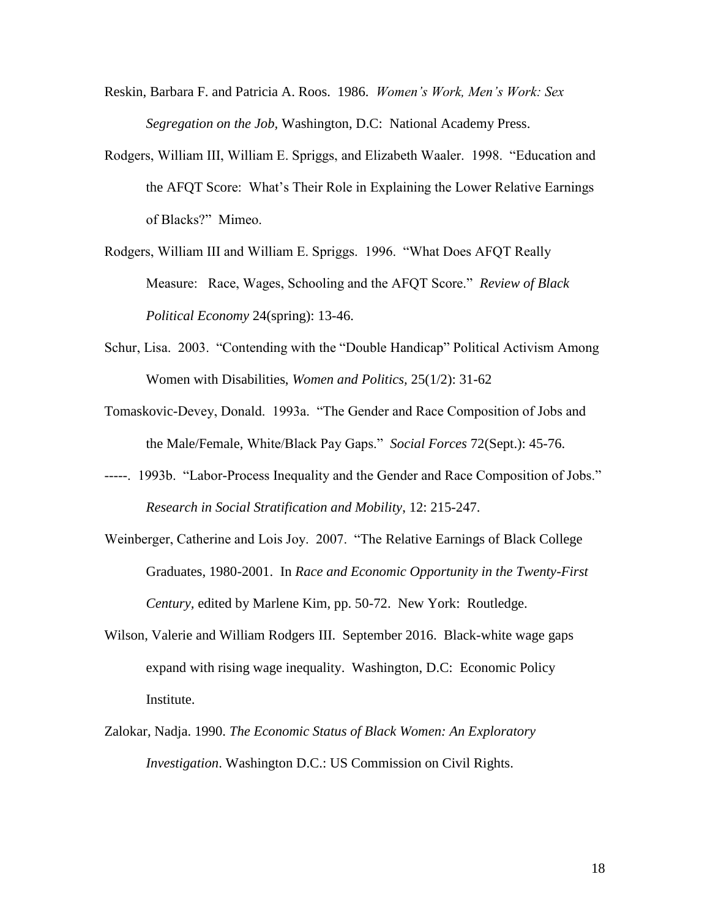- Reskin, Barbara F. and Patricia A. Roos. 1986. *Women's Work, Men's Work: Sex Segregation on the Job,* Washington, D.C: National Academy Press.
- Rodgers, William III, William E. Spriggs, and Elizabeth Waaler. 1998. "Education and the AFQT Score: What's Their Role in Explaining the Lower Relative Earnings of Blacks?" Mimeo.
- Rodgers, William III and William E. Spriggs. 1996. "What Does AFQT Really Measure: Race, Wages, Schooling and the AFQT Score." *Review of Black Political Economy* 24(spring): 13-46.
- Schur, Lisa. 2003. "Contending with the "Double Handicap" Political Activism Among Women with Disabilities, *Women and Politics,* 25(1/2): 31-62
- Tomaskovic-Devey, Donald. 1993a. "The Gender and Race Composition of Jobs and the Male/Female, White/Black Pay Gaps." *Social Forces* 72(Sept.): 45-76.
- -----. 1993b. "Labor-Process Inequality and the Gender and Race Composition of Jobs." *Research in Social Stratification and Mobility*, 12: 215-247.
- Weinberger, Catherine and Lois Joy. 2007. "The Relative Earnings of Black College Graduates, 1980-2001. In *Race and Economic Opportunity in the Twenty-First Century,* edited by Marlene Kim, pp. 50-72. New York: Routledge.
- Wilson, Valerie and William Rodgers III. September 2016. Black-white wage gaps expand with rising wage inequality. Washington, D.C: Economic Policy Institute.
- Zalokar, Nadja. 1990. *The Economic Status of Black Women: An Exploratory Investigation*. Washington D.C.: US Commission on Civil Rights.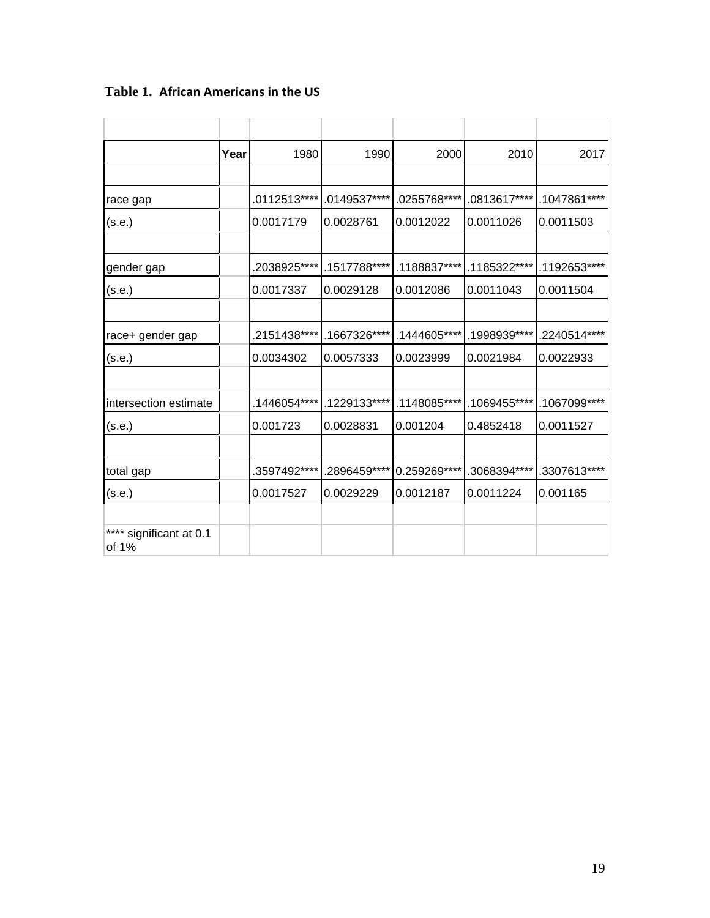|                                  | Year | 1980         | 1990         | 2000          | 2010          | 2017          |
|----------------------------------|------|--------------|--------------|---------------|---------------|---------------|
|                                  |      |              |              |               |               |               |
| race gap                         |      | .0112513**** | .0149537**** | 0255768****   | .0813617****  | .1047861****  |
| (s.e.)                           |      | 0.0017179    | 0.0028761    | 0.0012022     | 0.0011026     | 0.0011503     |
|                                  |      |              |              |               |               |               |
| gender gap                       |      | .2038925**** | .1517788**** | .1188837****  | .1185322****  | .1192653****  |
| (s.e.)                           |      | 0.0017337    | 0.0029128    | 0.0012086     | 0.0011043     | 0.0011504     |
|                                  |      |              |              |               |               |               |
| race+ gender gap                 |      | .2151438**** | .1667326**** | .1444605****  | .1998939****  | .2240514****  |
| (s.e.)                           |      | 0.0034302    | 0.0057333    | 0.0023999     | 0.0021984     | 0.0022933     |
|                                  |      |              |              |               |               |               |
| intersection estimate            |      | .1446054**** | .1229133**** | .1148085****  | .1069455****  | .1067099 **** |
| (s.e.)                           |      | 0.001723     | 0.0028831    | 0.001204      | 0.4852418     | 0.0011527     |
|                                  |      |              |              |               |               |               |
| total gap                        |      | .3597492**** | .2896459**** | 0.259269 **** | .3068394 **** | .3307613****  |
| (s.e.)                           |      | 0.0017527    | 0.0029229    | 0.0012187     | 0.0011224     | 0.001165      |
|                                  |      |              |              |               |               |               |
| **** significant at 0.1<br>of 1% |      |              |              |               |               |               |

**Table 1. African Americans in the US**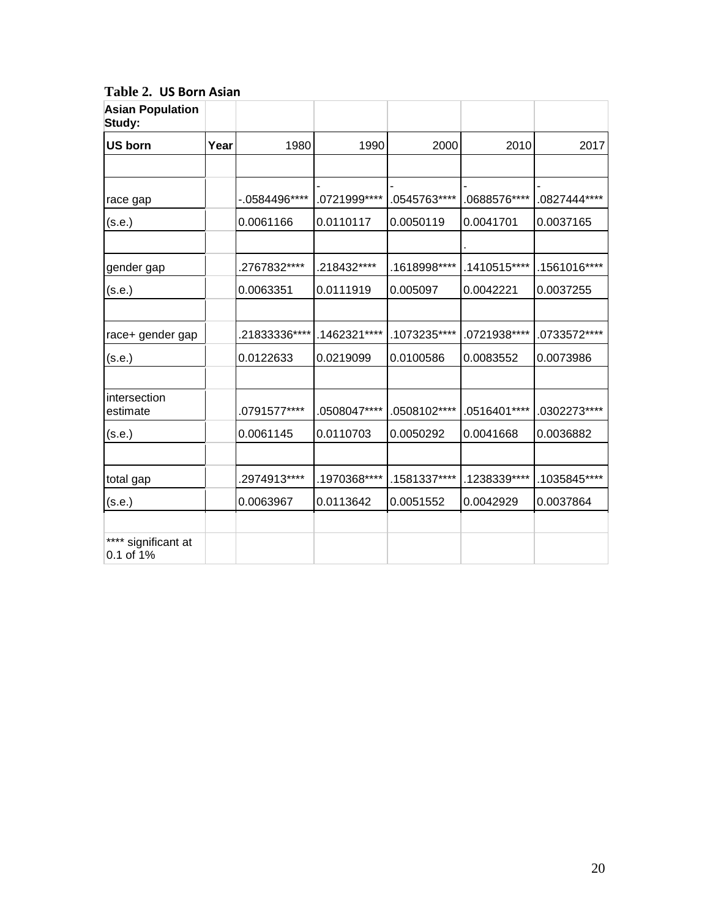| <b>Asian Population</b><br>Study: |      |               |               |               |               |              |
|-----------------------------------|------|---------------|---------------|---------------|---------------|--------------|
| US born                           | Year | 1980          | 1990          | 2000          | 2010          | 2017         |
|                                   |      |               |               |               |               |              |
| race gap                          |      | $-0584496***$ | .0721999 **** | .0545763 **** | .0688576****  | .0827444**** |
| (s.e.)                            |      | 0.0061166     | 0.0110117     | 0.0050119     | 0.0041701     | 0.0037165    |
|                                   |      |               |               |               |               |              |
| gender gap                        |      | .2767832****  | .218432****   | .1618998****  | .1410515****  | .1561016**** |
| (s.e.)                            |      | 0.0063351     | 0.0111919     | 0.005097      | 0.0042221     | 0.0037255    |
|                                   |      |               |               |               |               |              |
| race+ gender gap                  |      | .21833336**** | .1462321****  | .1073235****  | .0721938****  | .0733572**** |
| (s.e.)                            |      | 0.0122633     | 0.0219099     | 0.0100586     | 0.0083552     | 0.0073986    |
|                                   |      |               |               |               |               |              |
| intersection<br>estimate          |      | .0791577****  | .0508047****  | .0508102 **** | .0516401****  | .0302273**** |
| (s.e.)                            |      | 0.0061145     | 0.0110703     | 0.0050292     | 0.0041668     | 0.0036882    |
|                                   |      |               |               |               |               |              |
| total gap                         |      | .2974913****  | .1970368****  | .1581337****  | .1238339 **** | .1035845**** |
| (s.e.)                            |      | 0.0063967     | 0.0113642     | 0.0051552     | 0.0042929     | 0.0037864    |
|                                   |      |               |               |               |               |              |
| **** significant at<br>0.1 of 1%  |      |               |               |               |               |              |

**Table 2. US Born Asian**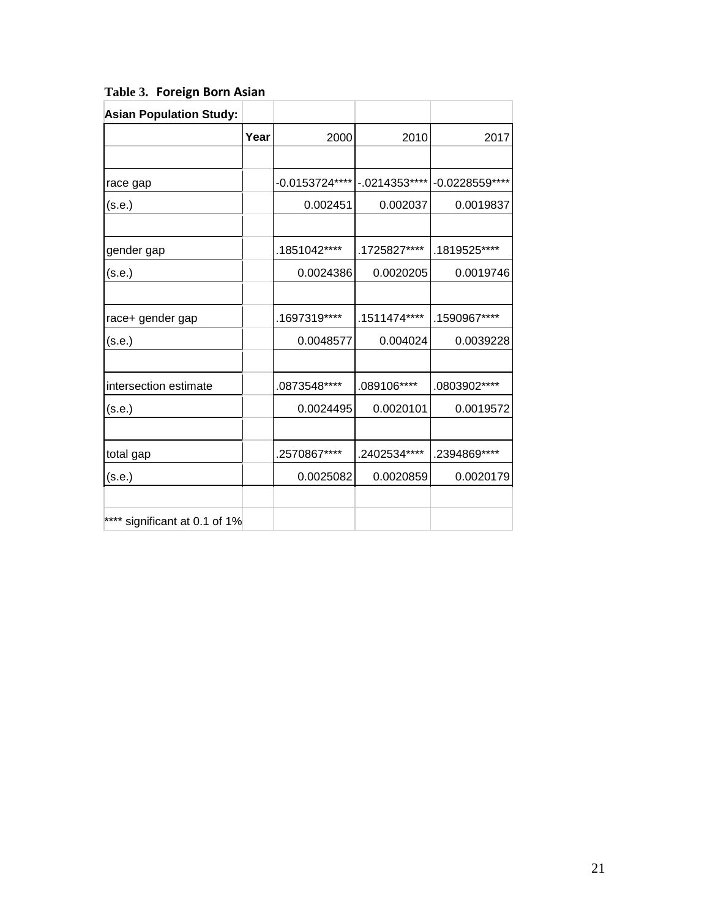| <b>Asian Population Study:</b> |      |                 |               |                 |
|--------------------------------|------|-----------------|---------------|-----------------|
|                                | Year | 2000            | 2010          | 2017            |
|                                |      |                 |               |                 |
| race gap                       |      | -0.0153724 **** | $-0214353***$ | -0.0228559 **** |
| (s.e.)                         |      | 0.002451        | 0.002037      | 0.0019837       |
|                                |      |                 |               |                 |
| gender gap                     |      | .1851042****    | .1725827****  | .1819525****    |
| (s.e.)                         |      | 0.0024386       | 0.0020205     | 0.0019746       |
|                                |      |                 |               |                 |
| race+ gender gap               |      | .1697319****    | .1511474****  | .1590967****    |
| (s.e.)                         |      | 0.0048577       | 0.004024      | 0.0039228       |
|                                |      |                 |               |                 |
| intersection estimate          |      | .0873548****    | .089106****   | .0803902****    |
| (s.e.)                         |      | 0.0024495       | 0.0020101     | 0.0019572       |
|                                |      |                 |               |                 |
| total gap                      |      | .2570867****    | .2402534****  | .2394869 ****   |
| (s.e.)                         |      | 0.0025082       | 0.0020859     | 0.0020179       |
|                                |      |                 |               |                 |
| **** significant at 0.1 of 1%  |      |                 |               |                 |

**Table 3. Foreign Born Asian**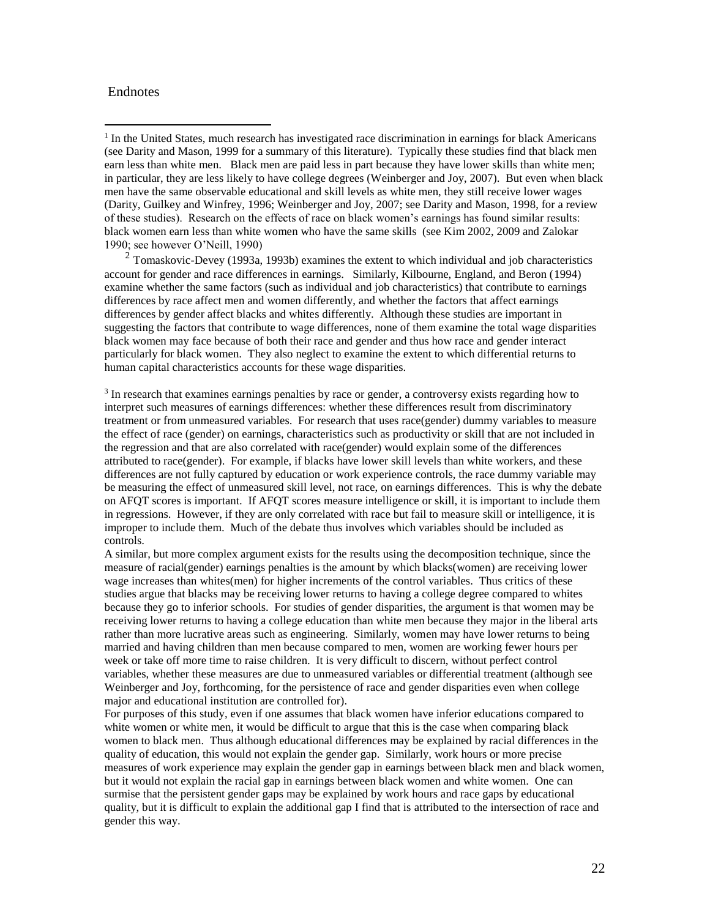## Endnotes

 $\overline{a}$ 

 $2$  Tomaskovic-Devey (1993a, 1993b) examines the extent to which individual and job characteristics account for gender and race differences in earnings. Similarly, Kilbourne, England, and Beron (1994) examine whether the same factors (such as individual and job characteristics) that contribute to earnings differences by race affect men and women differently, and whether the factors that affect earnings differences by gender affect blacks and whites differently. Although these studies are important in suggesting the factors that contribute to wage differences, none of them examine the total wage disparities black women may face because of both their race and gender and thus how race and gender interact particularly for black women. They also neglect to examine the extent to which differential returns to human capital characteristics accounts for these wage disparities.

<sup>3</sup> In research that examines earnings penalties by race or gender, a controversy exists regarding how to interpret such measures of earnings differences: whether these differences result from discriminatory treatment or from unmeasured variables. For research that uses race(gender) dummy variables to measure the effect of race (gender) on earnings, characteristics such as productivity or skill that are not included in the regression and that are also correlated with race(gender) would explain some of the differences attributed to race(gender). For example, if blacks have lower skill levels than white workers, and these differences are not fully captured by education or work experience controls, the race dummy variable may be measuring the effect of unmeasured skill level, not race, on earnings differences. This is why the debate on AFQT scores is important. If AFQT scores measure intelligence or skill, it is important to include them in regressions. However, if they are only correlated with race but fail to measure skill or intelligence, it is improper to include them. Much of the debate thus involves which variables should be included as controls.

A similar, but more complex argument exists for the results using the decomposition technique, since the measure of racial(gender) earnings penalties is the amount by which blacks(women) are receiving lower wage increases than whites(men) for higher increments of the control variables. Thus critics of these studies argue that blacks may be receiving lower returns to having a college degree compared to whites because they go to inferior schools. For studies of gender disparities, the argument is that women may be receiving lower returns to having a college education than white men because they major in the liberal arts rather than more lucrative areas such as engineering. Similarly, women may have lower returns to being married and having children than men because compared to men, women are working fewer hours per week or take off more time to raise children. It is very difficult to discern, without perfect control variables, whether these measures are due to unmeasured variables or differential treatment (although see Weinberger and Joy, forthcoming, for the persistence of race and gender disparities even when college major and educational institution are controlled for).

For purposes of this study, even if one assumes that black women have inferior educations compared to white women or white men, it would be difficult to argue that this is the case when comparing black women to black men. Thus although educational differences may be explained by racial differences in the quality of education, this would not explain the gender gap. Similarly, work hours or more precise measures of work experience may explain the gender gap in earnings between black men and black women, but it would not explain the racial gap in earnings between black women and white women. One can surmise that the persistent gender gaps may be explained by work hours and race gaps by educational quality, but it is difficult to explain the additional gap I find that is attributed to the intersection of race and gender this way.

<sup>&</sup>lt;sup>1</sup> In the United States, much research has investigated race discrimination in earnings for black Americans (see Darity and Mason, 1999 for a summary of this literature). Typically these studies find that black men earn less than white men. Black men are paid less in part because they have lower skills than white men; in particular, they are less likely to have college degrees (Weinberger and Joy, 2007). But even when black men have the same observable educational and skill levels as white men, they still receive lower wages (Darity, Guilkey and Winfrey, 1996; Weinberger and Joy, 2007; see Darity and Mason, 1998, for a review of these studies). Research on the effects of race on black women's earnings has found similar results: black women earn less than white women who have the same skills (see Kim 2002, 2009 and Zalokar 1990; see however O'Neill, 1990)